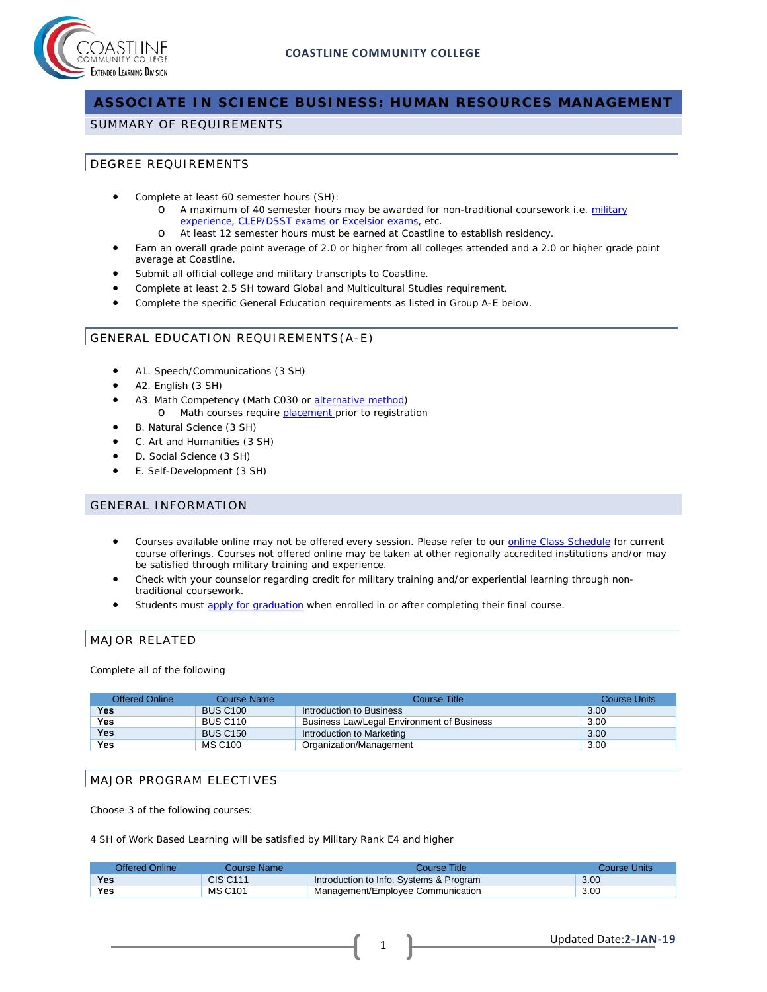

# **ASSOCIATE IN SCIENCE BUSINESS: HUMAN RESOURCES MANAGEMENT**

### SUMMARY OF REQUIREMENTS

## DEGREE REQUIREMENTS

- Complete at least 60 semester hours (SH):
	- o A maximum of 40 semester hours may be awarded for non-traditional coursework i.e. military [experience, CLEP/DSST exams or Excelsior exams,](http://military.coastline.edu/page.cfm?LinkID=1473) etc.
	- o At least 12 semester hours must be earned at Coastline to establish residency.
- Earn an overall grade point average of 2.0 or higher from all colleges attended and a 2.0 or higher grade point average at Coastline.
- Submit all official college and military transcripts to Coastline.
- Complete at least 2.5 SH toward Global and Multicultural Studies requirement.
- Complete the specific General Education requirements as listed in Group A-E below.

## GENERAL EDUCATION REQUIREMENTS(A-E)

- A1. Speech/Communications (3 SH)
- A2. English (3 SH)
- A3. Math Competency (Math C030 or [alternative method\)](http://military.coastline.edu/forms/page.cfm?LinkID=1446) o Math courses require **placement** prior to registration
- B. Natural Science (3 SH)
- C. Art and Humanities (3 SH)
- D. Social Science (3 SH)
- E. Self-Development (3 SH)

### GENERAL INFORMATION

- Courses available online may not be offered every session. Please refer to our [online Class](http://military.coastline.edu/schedule/page.cfm?LinkID=1706) Schedule for current course offerings. Courses not offered online may be taken at other regionally accredited institutions and/or may be satisfied through military training and experience.
- Check with your counselor regarding credit for military training and/or experiential learning through nontraditional coursework.
- Students must [apply for graduation](http://military.coastline.edu/active-duty/page.cfm?LinkID=1437) when enrolled in or after completing their final course.

## MAJOR RELATED

Complete all of the following

| <b>Offered Online</b> | Course Name     | Course Title                               | <b>Course Units</b> |
|-----------------------|-----------------|--------------------------------------------|---------------------|
| Yes                   | <b>BUS C100</b> | Introduction to Business                   | 3.00                |
| Yes                   | <b>BUS C110</b> | Business Law/Legal Environment of Business | 3.00                |
| <b>Yes</b>            | <b>BUS C150</b> | Introduction to Marketing                  | 3.00                |
| Yes                   | MS C100         | Organization/Management                    | 3.00                |

## MAJOR PROGRAM ELECTIVES

Choose 3 of the following courses:

4 SH of Work Based Learning will be satisfied by Military Rank E4 and higher

| Offered Online | Course Name l   | Course Title                            | Course Units |
|----------------|-----------------|-----------------------------------------|--------------|
| <b>Yes</b>     | <b>CIS C111</b> | Introduction to Info. Systems & Program | 3.00         |
| Yes            | <b>MS C101</b>  | Management/Employee Communication       | 3.00         |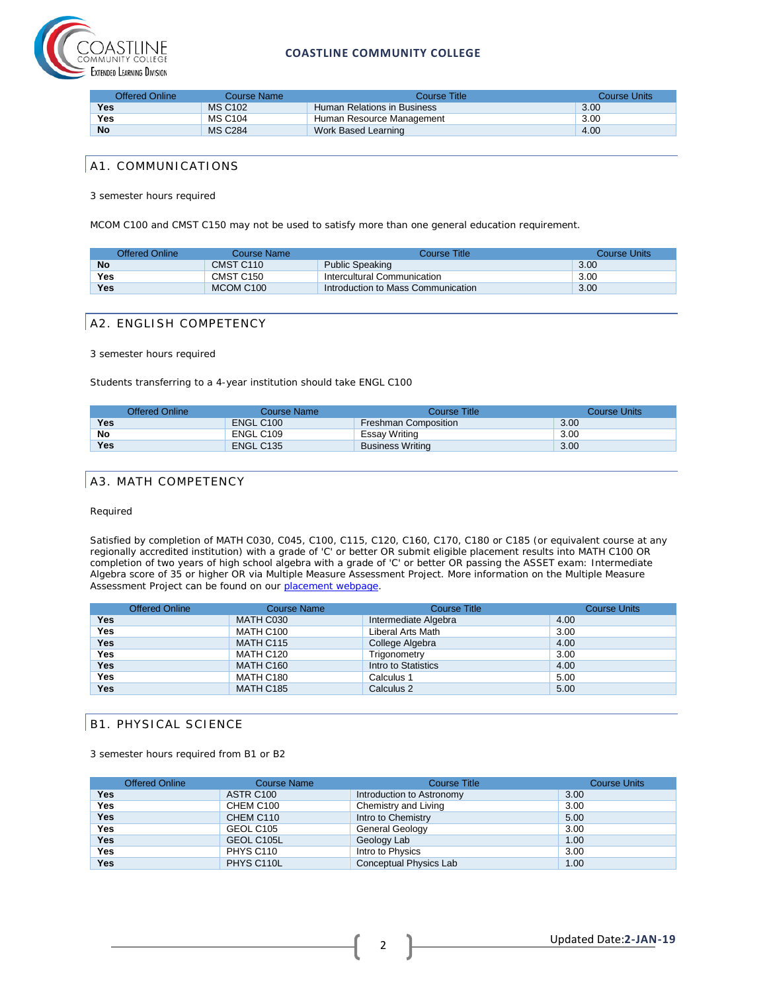

### **COASTLINE COMMUNITY COLLEGE**

| Offered Online | Course Name    | Course Title                | Course Units |
|----------------|----------------|-----------------------------|--------------|
| Yes            | <b>MS C102</b> | Human Relations in Business | 3.00         |
| Yes            | <b>MS C104</b> | Human Resource Management   | 3.00         |
| <b>No</b>      | <b>MS C284</b> | Work Based Learning         | 4.00         |

## A1. COMMUNICATIONS

3 semester hours required

MCOM C100 and CMST C150 may not be used to satisfy more than one general education requirement.

| Offered Online | Course Name           | Course Title:                      | Course Units |
|----------------|-----------------------|------------------------------------|--------------|
| <b>No</b>      | CMST C110             | <b>Public Speaking</b>             | 3.00         |
| Yes            | CMST C <sub>150</sub> | Intercultural Communication        | 3.00         |
| Yes            | MCOM C100             | Introduction to Mass Communication | 3.00         |

## A2. ENGLISH COMPETENCY

#### 3 semester hours required

Students transferring to a 4-year institution should take ENGL C100

|            | Offered Online | Course Name | Course Title            | Course Units |
|------------|----------------|-------------|-------------------------|--------------|
| <b>Yes</b> |                | ENGL C100   | Freshman Composition    | 3.00         |
| No         |                | ENGL C109   | Essay Writing           | 3.00         |
| Yes        |                | ENGL C135   | <b>Business Writing</b> | 3.00         |

## A3. MATH COMPETENCY

#### Required

Satisfied by completion of MATH C030, C045, C100, C115, C120, C160, C170, C180 or C185 (or equivalent course at any regionally accredited institution) with a grade of 'C' or better OR submit eligible placement results into MATH C100 OR completion of two years of high school algebra with a grade of 'C' or better OR passing the ASSET exam: Intermediate Algebra score of 35 or higher OR via Multiple Measure Assessment Project. More information on the Multiple Measure Assessment Project can be found on our [placement webpage.](http://military.coastline.edu/active-duty/page.cfm?LinkID=1446)

|            | Offered Online | <b>Course Name</b> | <b>Course Title</b>  | <b>Course Units</b> |
|------------|----------------|--------------------|----------------------|---------------------|
| <b>Yes</b> |                | MATH C030          | Intermediate Algebra | 4.00                |
| <b>Yes</b> |                | MATH C100          | Liberal Arts Math    | 3.00                |
| <b>Yes</b> |                | MATH C115          | College Algebra      | 4.00                |
| <b>Yes</b> |                | MATH C120          | Trigonometry         | 3.00                |
| <b>Yes</b> |                | MATH C160          | Intro to Statistics  | 4.00                |
| <b>Yes</b> |                | MATH C180          | Calculus 1           | 5.00                |
| <b>Yes</b> |                | MATH C185          | Calculus 2           | 5.00                |

## B1. PHYSICAL SCIENCE

3 semester hours required from B1 or B2

|            | <b>Offered Online</b> | <b>Course Name</b> | Course Title              | <b>Course Units</b> |
|------------|-----------------------|--------------------|---------------------------|---------------------|
| Yes        |                       | ASTR C100          | Introduction to Astronomy | 3.00                |
| <b>Yes</b> |                       | CHEM C100          | Chemistry and Living      | 3.00                |
| <b>Yes</b> |                       | CHEM C110          | Intro to Chemistry        | 5.00                |
| <b>Yes</b> |                       | GEOL C105          | General Geology           | 3.00                |
| Yes        |                       | GEOL C105L         | Geology Lab               | 1.00                |
| <b>Yes</b> |                       | PHYS C110          | Intro to Physics          | 3.00                |
| <b>Yes</b> |                       | PHYS C110L         | Conceptual Physics Lab    | 1.00                |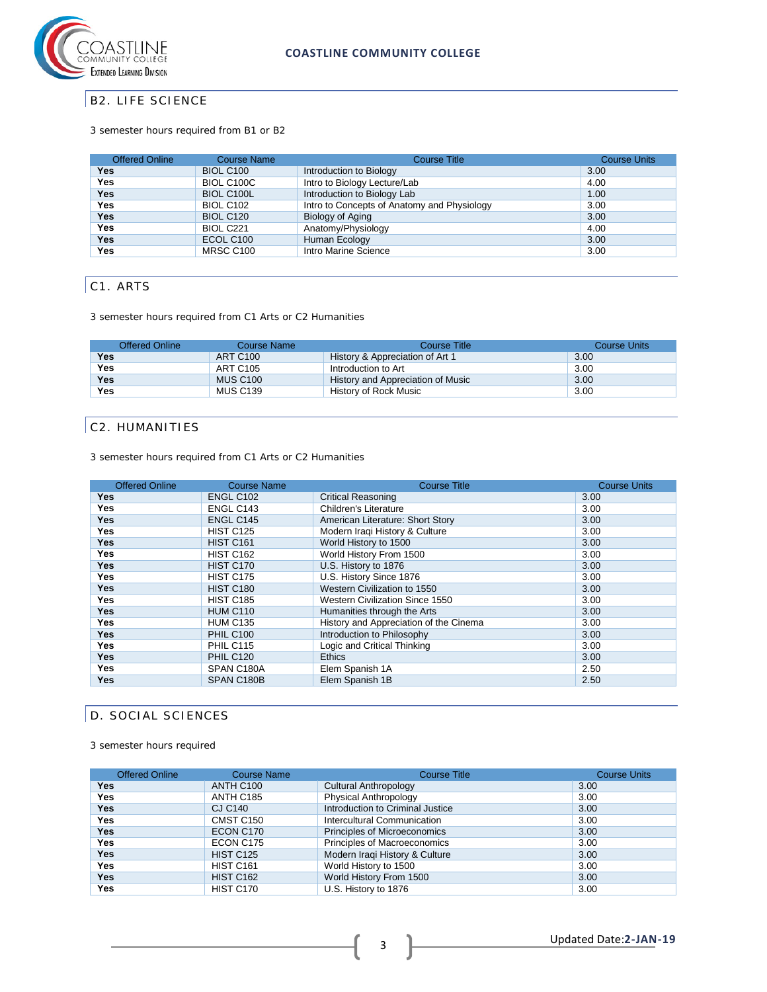

## B2. LIFE SCIENCE

### 3 semester hours required from B1 or B2

| <b>Offered Online</b> | <b>Course Name</b> | <b>Course Title</b>                         | <b>Course Units</b> |
|-----------------------|--------------------|---------------------------------------------|---------------------|
| Yes                   | BIOL C100          | Introduction to Biology                     | 3.00                |
| Yes                   | BIOL C100C         | Intro to Biology Lecture/Lab                | 4.00                |
| <b>Yes</b>            | <b>BIOL C100L</b>  | Introduction to Biology Lab                 | 1.00                |
| Yes                   | <b>BIOL C102</b>   | Intro to Concepts of Anatomy and Physiology | 3.00                |
| Yes.                  | BIOL C120          | Biology of Aging                            | 3.00                |
| Yes                   | BIOL C221          | Anatomy/Physiology                          | 4.00                |
| Yes.                  | ECOL C100          | Human Ecology                               | 3.00                |
| Yes                   | MRSC C100          | Intro Marine Science                        | 3.00                |

# C1. ARTS

3 semester hours required from C1 Arts or C2 Humanities

| <b>Offered Online</b> | Course Name     | Course Title                      | <b>Course Units</b> |
|-----------------------|-----------------|-----------------------------------|---------------------|
| Yes                   | <b>ART C100</b> | History & Appreciation of Art 1   | 3.00                |
| Yes                   | ART C105        | Introduction to Art               | 3.00                |
| <b>Yes</b>            | <b>MUS C100</b> | History and Appreciation of Music | 3.00                |
| Yes                   | MUS C139        | History of Rock Music             | 3.00                |

## C2. HUMANITIES

3 semester hours required from C1 Arts or C2 Humanities

| <b>Offered Online</b> | <b>Course Name</b> | <b>Course Title</b>                    | <b>Course Units</b> |
|-----------------------|--------------------|----------------------------------------|---------------------|
| <b>Yes</b>            | ENGL C102          | <b>Critical Reasoning</b>              | 3.00                |
| <b>Yes</b>            | ENGL C143          | Children's Literature                  | 3.00                |
| <b>Yes</b>            | ENGL C145          | American Literature: Short Story       | 3.00                |
| <b>Yes</b>            | <b>HIST C125</b>   | Modern Iraqi History & Culture         | 3.00                |
| <b>Yes</b>            | <b>HIST C161</b>   | World History to 1500                  | 3.00                |
| Yes                   | <b>HIST C162</b>   | World History From 1500                | 3.00                |
| <b>Yes</b>            | <b>HIST C170</b>   | U.S. History to 1876                   | 3.00                |
| Yes                   | <b>HIST C175</b>   | U.S. History Since 1876                | 3.00                |
| <b>Yes</b>            | <b>HIST C180</b>   | Western Civilization to 1550           | 3.00                |
| <b>Yes</b>            | <b>HIST C185</b>   | Western Civilization Since 1550        | 3.00                |
| <b>Yes</b>            | <b>HUM C110</b>    | Humanities through the Arts            | 3.00                |
| Yes                   | <b>HUM C135</b>    | History and Appreciation of the Cinema | 3.00                |
| <b>Yes</b>            | <b>PHIL C100</b>   | Introduction to Philosophy             | 3.00                |
| Yes                   | PHIL C115          | Logic and Critical Thinking            | 3.00                |
| <b>Yes</b>            | <b>PHIL C120</b>   | <b>Ethics</b>                          | 3.00                |
| <b>Yes</b>            | SPAN C180A         | Elem Spanish 1A                        | 2.50                |
| <b>Yes</b>            | SPAN C180B         | Elem Spanish 1B                        | 2.50                |

## D. SOCIAL SCIENCES

3 semester hours required

| <b>Offered Online</b> | <b>Course Name</b> | <b>Course Title</b>              | <b>Course Units</b> |
|-----------------------|--------------------|----------------------------------|---------------------|
| <b>Yes</b>            | ANTH C100          | Cultural Anthropology            | 3.00                |
| <b>Yes</b>            | ANTH C185          | <b>Physical Anthropology</b>     | 3.00                |
| <b>Yes</b>            | CJ C140            | Introduction to Criminal Justice | 3.00                |
| <b>Yes</b>            | CMST C150          | Intercultural Communication      | 3.00                |
| <b>Yes</b>            | ECON C170          | Principles of Microeconomics     | 3.00                |
| Yes                   | ECON C175          | Principles of Macroeconomics     | 3.00                |
| <b>Yes</b>            | <b>HIST C125</b>   | Modern Iraqi History & Culture   | 3.00                |
| Yes                   | <b>HIST C161</b>   | World History to 1500            | 3.00                |
| <b>Yes</b>            | <b>HIST C162</b>   | World History From 1500          | 3.00                |
| Yes                   | HIST C170          | U.S. History to 1876             | 3.00                |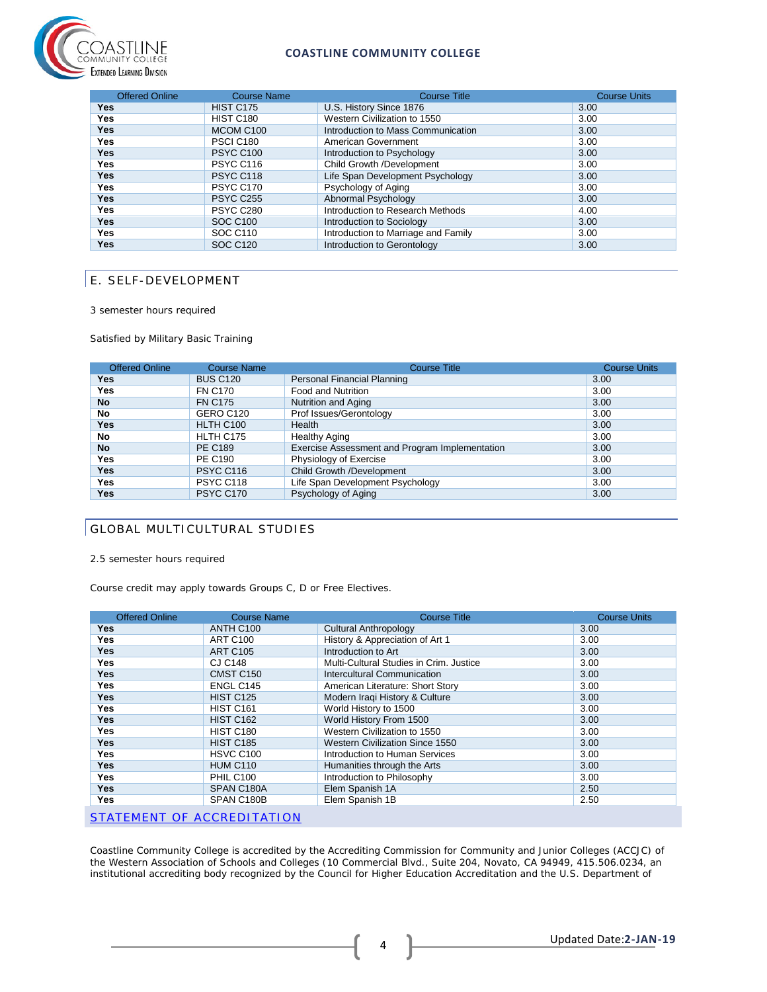

### **COASTLINE COMMUNITY COLLEGE**

| <b>Offered Online</b> | <b>Course Name</b> | <b>Course Title</b>                 | <b>Course Units</b> |
|-----------------------|--------------------|-------------------------------------|---------------------|
| Yes                   | <b>HIST C175</b>   | U.S. History Since 1876             | 3.00                |
| Yes                   | <b>HIST C180</b>   | Western Civilization to 1550        | 3.00                |
| <b>Yes</b>            | MCOM C100          | Introduction to Mass Communication  | 3.00                |
| Yes                   | <b>PSCI C180</b>   | American Government                 | 3.00                |
| Yes.                  | <b>PSYC C100</b>   | Introduction to Psychology          | 3.00                |
| Yes                   | PSYC C116          | Child Growth /Development           | 3.00                |
| <b>Yes</b>            | PSYC C118          | Life Span Development Psychology    | 3.00                |
| Yes                   | <b>PSYC C170</b>   | Psychology of Aging                 | 3.00                |
| <b>Yes</b>            | <b>PSYC C255</b>   | Abnormal Psychology                 | 3.00                |
| Yes                   | <b>PSYC C280</b>   | Introduction to Research Methods    | 4.00                |
| Yes.                  | <b>SOC C100</b>    | Introduction to Sociology           | 3.00                |
| Yes                   | SOC C110           | Introduction to Marriage and Family | 3.00                |
| Yes                   | <b>SOC C120</b>    | Introduction to Gerontology         | 3.00                |

## E. SELF-DEVELOPMENT

3 semester hours required

Satisfied by Military Basic Training

| <b>Offered Online</b> | <b>Course Name</b> | <b>Course Title</b>                            | <b>Course Units</b> |
|-----------------------|--------------------|------------------------------------------------|---------------------|
| Yes.                  | <b>BUS C120</b>    | Personal Financial Planning                    | 3.00                |
| Yes                   | <b>FN C170</b>     | Food and Nutrition                             | 3.00                |
| <b>No</b>             | <b>FN C175</b>     | Nutrition and Aging                            | 3.00                |
| No                    | GERO C120          | Prof Issues/Gerontology                        | 3.00                |
| Yes                   | HLTH C100          | Health                                         | 3.00                |
| No                    | HLTH C175          | <b>Healthy Aging</b>                           | 3.00                |
| <b>No</b>             | <b>PE C189</b>     | Exercise Assessment and Program Implementation | 3.00                |
| <b>Yes</b>            | <b>PE C190</b>     | Physiology of Exercise                         | 3.00                |
| <b>Yes</b>            | <b>PSYC C116</b>   | Child Growth /Development                      | 3.00                |
| Yes                   | PSYC C118          | Life Span Development Psychology               | 3.00                |
| Yes                   | PSYC C170          | Psychology of Aging                            | 3.00                |

## GLOBAL MULTICULTURAL STUDIES

2.5 semester hours required

Course credit may apply towards Groups C, D or Free Electives.

| <b>Offered Online</b>      | <b>Course Name</b>    | <b>Course Title</b>                     | <b>Course Units</b> |  |
|----------------------------|-----------------------|-----------------------------------------|---------------------|--|
| Yes                        | ANTH C100             | <b>Cultural Anthropology</b>            | 3.00                |  |
| Yes                        | <b>ART C100</b>       | History & Appreciation of Art 1         | 3.00                |  |
| Yes                        | <b>ART C105</b>       | Introduction to Art                     | 3.00                |  |
| Yes                        | <b>CJ C148</b>        | Multi-Cultural Studies in Crim. Justice | 3.00                |  |
| Yes                        | CMST C150             | Intercultural Communication             | 3.00                |  |
| Yes                        | ENGL C145             | American Literature: Short Story        | 3.00                |  |
| Yes                        | <b>HIST C125</b>      | Modern Iraqi History & Culture          | 3.00                |  |
| Yes                        | <b>HIST C161</b>      | World History to 1500                   | 3.00                |  |
| Yes                        | <b>HIST C162</b>      | World History From 1500                 | 3.00                |  |
| Yes                        | <b>HIST C180</b>      | Western Civilization to 1550            | 3.00                |  |
| <b>Yes</b>                 | <b>HIST C185</b>      | <b>Western Civilization Since 1550</b>  | 3.00                |  |
| Yes                        | HSVC C <sub>100</sub> | Introduction to Human Services          | 3.00                |  |
| Yes                        | <b>HUM C110</b>       | Humanities through the Arts             | 3.00                |  |
| Yes                        | <b>PHIL C100</b>      | Introduction to Philosophy              | 3.00                |  |
| <b>Yes</b>                 | SPAN C180A            | Elem Spanish 1A                         | 2.50                |  |
| Yes                        | SPAN C180B            | Elem Spanish 1B                         | 2.50                |  |
| STATEMENT OF ACCREDITATION |                       |                                         |                     |  |

Coastline Community College is accredited by the Accrediting Commission for Community and Junior Colleges (ACCJC) of the Western Association of Schools and Colleges (10 Commercial Blvd., Suite 204, Novato, CA 94949, 415.506.0234, an institutional accrediting body recognized by the Council for Higher Education Accreditation and the U.S. Department of